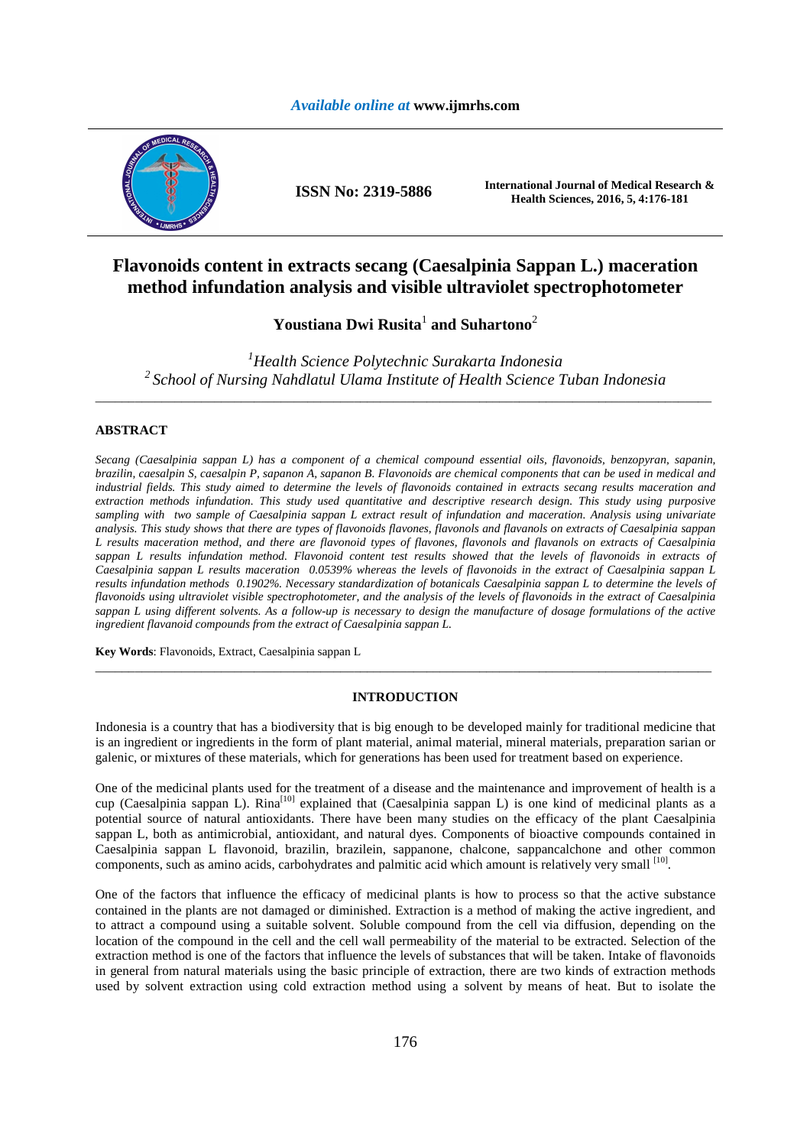# *Available online at* **www.ijmrhs.com**



# **Flavonoids content in extracts secang (Caesalpinia Sappan L.) maceration method infundation analysis and visible ultraviolet spectrophotometer**

# **Youstiana Dwi Rusita**<sup>1</sup>  **and Suhartono**<sup>2</sup>

*<sup>1</sup>Health Science Polytechnic Surakarta Indonesia <sup>2</sup>School of Nursing Nahdlatul Ulama Institute of Health Science Tuban Indonesia*  \_\_\_\_\_\_\_\_\_\_\_\_\_\_\_\_\_\_\_\_\_\_\_\_\_\_\_\_\_\_\_\_\_\_\_\_\_\_\_\_\_\_\_\_\_\_\_\_\_\_\_\_\_\_\_\_\_\_\_\_\_\_\_\_\_\_\_\_\_\_\_\_\_\_\_\_\_\_\_\_\_\_\_\_\_\_\_\_\_\_\_\_\_

# **ABSTRACT**

*Secang (Caesalpinia sappan L) has a component of a chemical compound essential oils, flavonoids, benzopyran, sapanin, brazilin, caesalpin S, caesalpin P, sapanon A, sapanon B. Flavonoids are chemical components that can be used in medical and industrial fields. This study aimed to determine the levels of flavonoids contained in extracts secang results maceration and extraction methods infundation. This study used quantitative and descriptive research design. This study using purposive sampling with two sample of Caesalpinia sappan L extract result of infundation and maceration. Analysis using univariate analysis. This study shows that there are types of flavonoids flavones, flavonols and flavanols on extracts of Caesalpinia sappan L results maceration method, and there are flavonoid types of flavones, flavonols and flavanols on extracts of Caesalpinia*  sappan L results infundation method. Flavonoid content test results showed that the levels of flavonoids in extracts of *Caesalpinia sappan L results maceration 0.0539% whereas the levels of flavonoids in the extract of Caesalpinia sappan L results infundation methods 0.1902%. Necessary standardization of botanicals Caesalpinia sappan L to determine the levels of flavonoids using ultraviolet visible spectrophotometer, and the analysis of the levels of flavonoids in the extract of Caesalpinia sappan L using different solvents. As a follow-up is necessary to design the manufacture of dosage formulations of the active ingredient flavanoid compounds from the extract of Caesalpinia sappan L.* 

**Key Words**: Flavonoids, Extract, Caesalpinia sappan L

## **INTRODUCTION**

\_\_\_\_\_\_\_\_\_\_\_\_\_\_\_\_\_\_\_\_\_\_\_\_\_\_\_\_\_\_\_\_\_\_\_\_\_\_\_\_\_\_\_\_\_\_\_\_\_\_\_\_\_\_\_\_\_\_\_\_\_\_\_\_\_\_\_\_\_\_\_\_\_\_\_\_\_\_\_\_\_\_\_\_\_\_\_\_\_\_\_\_\_

Indonesia is a country that has a biodiversity that is big enough to be developed mainly for traditional medicine that is an ingredient or ingredients in the form of plant material, animal material, mineral materials, preparation sarian or galenic, or mixtures of these materials, which for generations has been used for treatment based on experience.

One of the medicinal plants used for the treatment of a disease and the maintenance and improvement of health is a cup (Caesalpinia sappan L). Rina<sup>[10]</sup> explained that (Caesalpinia sappan L) is one kind of medicinal plants as a potential source of natural antioxidants. There have been many studies on the efficacy of the plant Caesalpinia sappan L, both as antimicrobial, antioxidant, and natural dyes. Components of bioactive compounds contained in Caesalpinia sappan L flavonoid, brazilin, brazilein, sappanone, chalcone, sappancalchone and other common components, such as amino acids, carbohydrates and palmitic acid which amount is relatively very small [10].

One of the factors that influence the efficacy of medicinal plants is how to process so that the active substance contained in the plants are not damaged or diminished. Extraction is a method of making the active ingredient, and to attract a compound using a suitable solvent. Soluble compound from the cell via diffusion, depending on the location of the compound in the cell and the cell wall permeability of the material to be extracted. Selection of the extraction method is one of the factors that influence the levels of substances that will be taken. Intake of flavonoids in general from natural materials using the basic principle of extraction, there are two kinds of extraction methods used by solvent extraction using cold extraction method using a solvent by means of heat. But to isolate the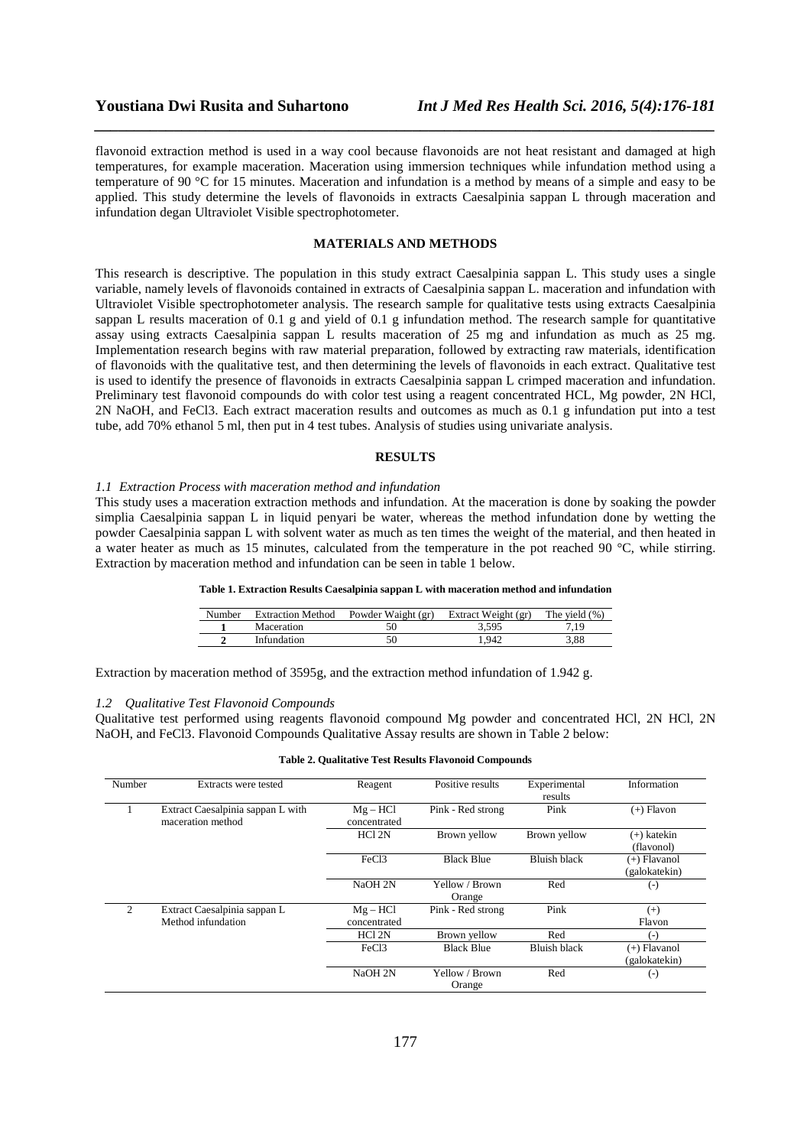flavonoid extraction method is used in a way cool because flavonoids are not heat resistant and damaged at high temperatures, for example maceration. Maceration using immersion techniques while infundation method using a temperature of 90 °C for 15 minutes. Maceration and infundation is a method by means of a simple and easy to be applied. This study determine the levels of flavonoids in extracts Caesalpinia sappan L through maceration and infundation degan Ultraviolet Visible spectrophotometer.

*\_\_\_\_\_\_\_\_\_\_\_\_\_\_\_\_\_\_\_\_\_\_\_\_\_\_\_\_\_\_\_\_\_\_\_\_\_\_\_\_\_\_\_\_\_\_\_\_\_\_\_\_\_\_\_\_\_\_\_\_\_\_\_\_\_\_\_\_\_\_\_\_\_\_\_\_\_\_*

### **MATERIALS AND METHODS**

This research is descriptive. The population in this study extract Caesalpinia sappan L. This study uses a single variable, namely levels of flavonoids contained in extracts of Caesalpinia sappan L. maceration and infundation with Ultraviolet Visible spectrophotometer analysis. The research sample for qualitative tests using extracts Caesalpinia sappan L results maceration of 0.1 g and yield of 0.1 g infundation method. The research sample for quantitative assay using extracts Caesalpinia sappan L results maceration of 25 mg and infundation as much as 25 mg. Implementation research begins with raw material preparation, followed by extracting raw materials, identification of flavonoids with the qualitative test, and then determining the levels of flavonoids in each extract. Qualitative test is used to identify the presence of flavonoids in extracts Caesalpinia sappan L crimped maceration and infundation. Preliminary test flavonoid compounds do with color test using a reagent concentrated HCL, Mg powder, 2N HCl, 2N NaOH, and FeCl3. Each extract maceration results and outcomes as much as 0.1 g infundation put into a test tube, add 70% ethanol 5 ml, then put in 4 test tubes. Analysis of studies using univariate analysis.

# **RESULTS**

# *1.1 Extraction Process with maceration method and infundation*

This study uses a maceration extraction methods and infundation. At the maceration is done by soaking the powder simplia Caesalpinia sappan L in liquid penyari be water, whereas the method infundation done by wetting the powder Caesalpinia sappan L with solvent water as much as ten times the weight of the material, and then heated in a water heater as much as 15 minutes, calculated from the temperature in the pot reached 90 °C, while stirring. Extraction by maceration method and infundation can be seen in table 1 below.

### **Table 1. Extraction Results Caesalpinia sappan L with maceration method and infundation**

| Number | <b>Extraction Method</b> | Powder Waight (gr) | Extract Weight (gr) | The yield $(\%)$ |
|--------|--------------------------|--------------------|---------------------|------------------|
|        | Maceration               |                    | 3.595               | 7.19             |
|        | Infundation              |                    | .942                | 3.88             |

Extraction by maceration method of 3595g, and the extraction method infundation of 1.942 g.

#### *1.2 Qualitative Test Flavonoid Compounds*

Qualitative test performed using reagents flavonoid compound Mg powder and concentrated HCl, 2N HCl, 2N NaOH, and FeCl3. Flavonoid Compounds Qualitative Assay results are shown in Table 2 below:

| Number         | Extracts were tested                                   | Reagent                  | Positive results         | Experimental<br>results | Information                     |
|----------------|--------------------------------------------------------|--------------------------|--------------------------|-------------------------|---------------------------------|
|                | Extract Caesalpinia sappan L with<br>maceration method | $Mg-HCl$<br>concentrated | Pink - Red strong        | Pink                    | (+) Flavon                      |
|                |                                                        | HCl <sub>2N</sub>        | Brown yellow             | Brown yellow            | $(+)$ katekin<br>(flavonol)     |
|                |                                                        | FeC <sub>13</sub>        | <b>Black Blue</b>        | <b>Bluish black</b>     | $(+)$ Flavanol<br>(galokatekin) |
|                |                                                        | NaOH 2N                  | Yellow / Brown<br>Orange | Red                     | $(-)$                           |
| $\mathfrak{D}$ | Extract Caesalpinia sappan L<br>Method infundation     | $Mg-HCl$<br>concentrated | Pink - Red strong        | Pink                    | $(+)$<br>Flavon                 |
|                |                                                        | HCl <sub>2N</sub>        | Brown yellow             | Red                     | $(-)$                           |
|                |                                                        | FeC <sub>13</sub>        | <b>Black Blue</b>        | <b>Bluish black</b>     | (+) Flavanol<br>(galokatekin)   |
|                |                                                        | NaOH 2N                  | Yellow / Brown<br>Orange | Red                     | $(\textnormal{-})$              |

#### **Table 2. Qualitative Test Results Flavonoid Compounds**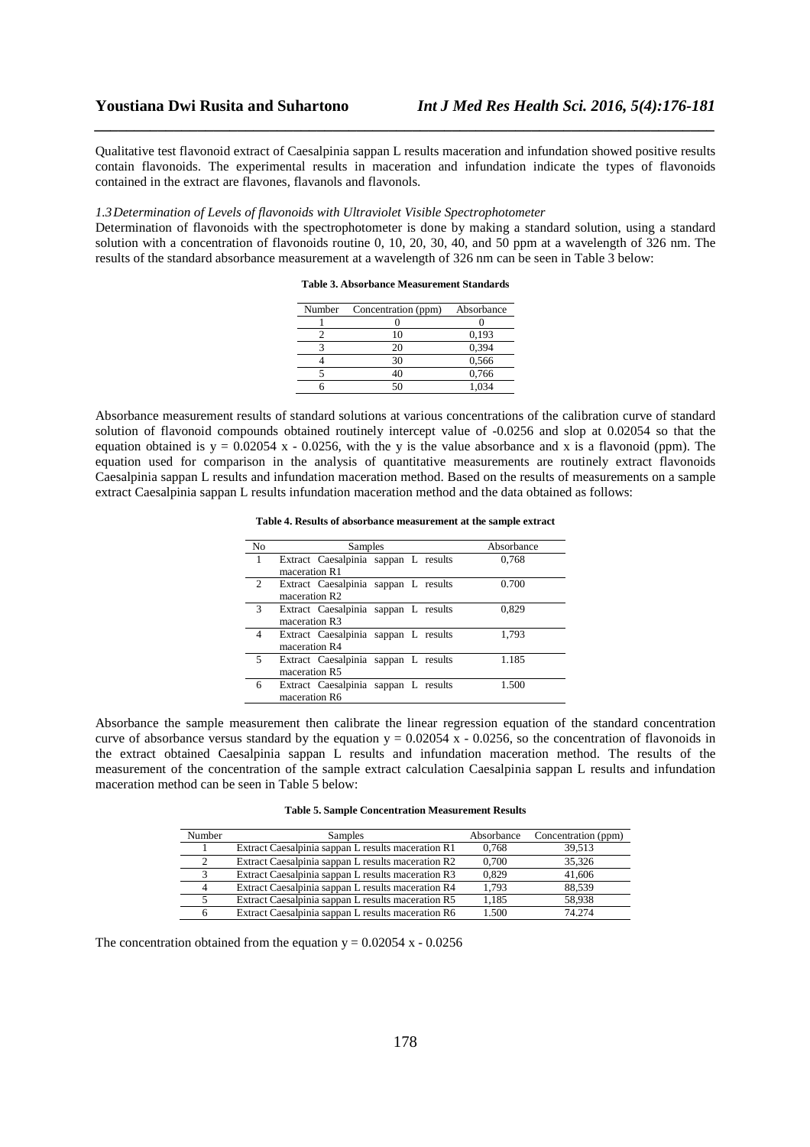Qualitative test flavonoid extract of Caesalpinia sappan L results maceration and infundation showed positive results contain flavonoids. The experimental results in maceration and infundation indicate the types of flavonoids contained in the extract are flavones, flavanols and flavonols.

*\_\_\_\_\_\_\_\_\_\_\_\_\_\_\_\_\_\_\_\_\_\_\_\_\_\_\_\_\_\_\_\_\_\_\_\_\_\_\_\_\_\_\_\_\_\_\_\_\_\_\_\_\_\_\_\_\_\_\_\_\_\_\_\_\_\_\_\_\_\_\_\_\_\_\_\_\_\_*

### *1.3Determination of Levels of flavonoids with Ultraviolet Visible Spectrophotometer*

Determination of flavonoids with the spectrophotometer is done by making a standard solution, using a standard solution with a concentration of flavonoids routine 0, 10, 20, 30, 40, and 50 ppm at a wavelength of 326 nm. The results of the standard absorbance measurement at a wavelength of 326 nm can be seen in Table 3 below:

| Number | Concentration (ppm) | Absorbance |
|--------|---------------------|------------|
|        |                     |            |
|        | 10                  | 0,193      |
|        | 20                  | 0.394      |
|        | 30                  | 0,566      |
|        | 40                  | 0,766      |
|        | 50                  | 1.034      |

Absorbance measurement results of standard solutions at various concentrations of the calibration curve of standard solution of flavonoid compounds obtained routinely intercept value of -0.0256 and slop at 0.02054 so that the equation obtained is  $y = 0.02054$  x - 0.0256, with the y is the value absorbance and x is a flavonoid (ppm). The equation used for comparison in the analysis of quantitative measurements are routinely extract flavonoids Caesalpinia sappan L results and infundation maceration method. Based on the results of measurements on a sample extract Caesalpinia sappan L results infundation maceration method and the data obtained as follows:

| Table 4. Results of absorbance measurement at the sample extract |  |
|------------------------------------------------------------------|--|
|------------------------------------------------------------------|--|

| No | Samples                              | Absorbance |
|----|--------------------------------------|------------|
| 1  | Extract Caesalpinia sappan L results | 0,768      |
|    | maceration R1                        |            |
| 2  | Extract Caesalpinia sappan L results | 0.700      |
|    | maceration R <sub>2</sub>            |            |
| 3  | Extract Caesalpinia sappan L results | 0.829      |
|    | maceration R3                        |            |
| 4  | Extract Caesalpinia sappan L results | 1.793      |
|    | maceration R4                        |            |
| 5  | Extract Caesalpinia sappan L results | 1.185      |
|    | maceration R5                        |            |
| 6  | Extract Caesalpinia sappan L results | 1.500      |
|    | maceration R6                        |            |
|    |                                      |            |

Absorbance the sample measurement then calibrate the linear regression equation of the standard concentration curve of absorbance versus standard by the equation  $y = 0.02054 \times 0.0256$ , so the concentration of flavonoids in the extract obtained Caesalpinia sappan L results and infundation maceration method. The results of the measurement of the concentration of the sample extract calculation Caesalpinia sappan L results and infundation maceration method can be seen in Table 5 below:

| Number | <b>Samples</b>                                     | Absorbance | Concentration (ppm) |
|--------|----------------------------------------------------|------------|---------------------|
|        | Extract Caesalpinia sappan L results maceration R1 | 0,768      | 39,513              |
| ∍      | Extract Caesalpinia sappan L results maceration R2 | 0.700      | 35.326              |
|        | Extract Caesalpinia sappan L results maceration R3 | 0.829      | 41,606              |
| 4      | Extract Caesalpinia sappan L results maceration R4 | 1.793      | 88.539              |
|        | Extract Caesalpinia sappan L results maceration R5 | 1.185      | 58.938              |
|        | Extract Caesalpinia sappan L results maceration R6 | 1.500      | 74 274              |

The concentration obtained from the equation  $y = 0.02054$  x - 0.0256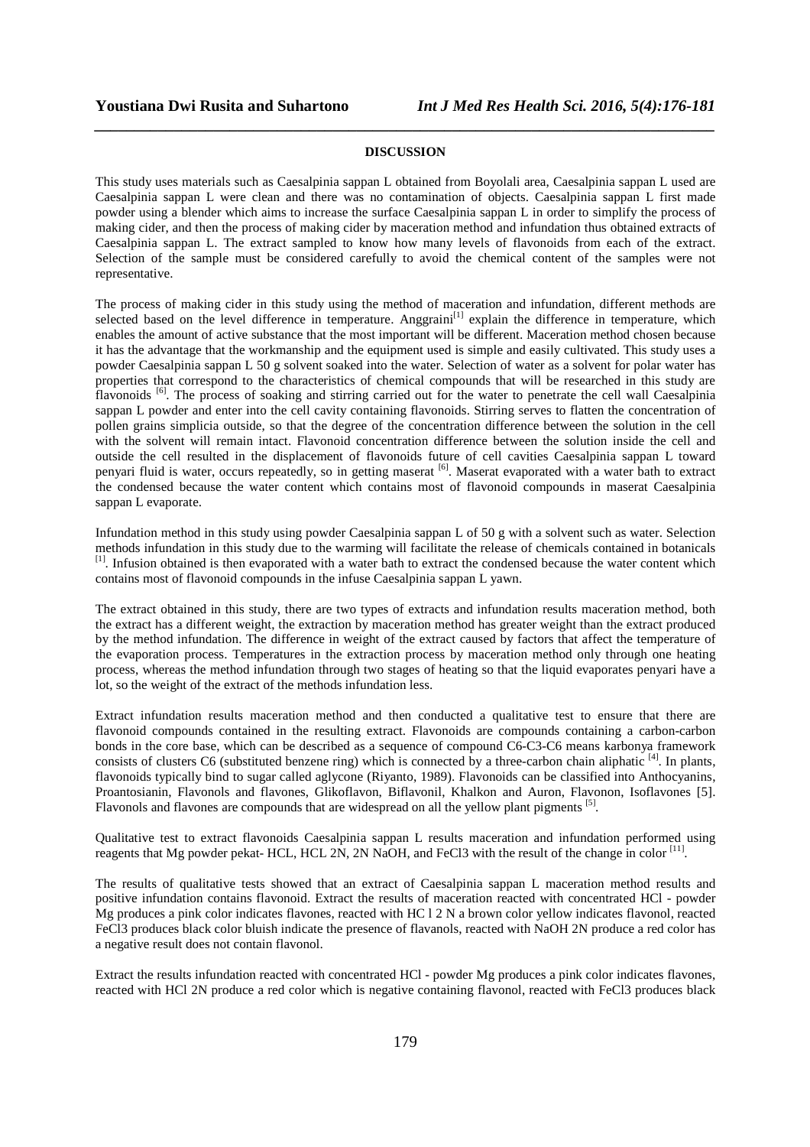# *\_\_\_\_\_\_\_\_\_\_\_\_\_\_\_\_\_\_\_\_\_\_\_\_\_\_\_\_\_\_\_\_\_\_\_\_\_\_\_\_\_\_\_\_\_\_\_\_\_\_\_\_\_\_\_\_\_\_\_\_\_\_\_\_\_\_\_\_\_\_\_\_\_\_\_\_\_\_* **DISCUSSION**

This study uses materials such as Caesalpinia sappan L obtained from Boyolali area, Caesalpinia sappan L used are Caesalpinia sappan L were clean and there was no contamination of objects. Caesalpinia sappan L first made powder using a blender which aims to increase the surface Caesalpinia sappan L in order to simplify the process of making cider, and then the process of making cider by maceration method and infundation thus obtained extracts of Caesalpinia sappan L. The extract sampled to know how many levels of flavonoids from each of the extract. Selection of the sample must be considered carefully to avoid the chemical content of the samples were not representative.

The process of making cider in this study using the method of maceration and infundation, different methods are selected based on the level difference in temperature. Anggraini<sup>[1]</sup> explain the difference in temperature, which enables the amount of active substance that the most important will be different. Maceration method chosen because it has the advantage that the workmanship and the equipment used is simple and easily cultivated. This study uses a powder Caesalpinia sappan L 50 g solvent soaked into the water. Selection of water as a solvent for polar water has properties that correspond to the characteristics of chemical compounds that will be researched in this study are flavonoids <sup>[6]</sup>. The process of soaking and stirring carried out for the water to penetrate the cell wall Caesalpinia sappan L powder and enter into the cell cavity containing flavonoids. Stirring serves to flatten the concentration of pollen grains simplicia outside, so that the degree of the concentration difference between the solution in the cell with the solvent will remain intact. Flavonoid concentration difference between the solution inside the cell and outside the cell resulted in the displacement of flavonoids future of cell cavities Caesalpinia sappan L toward penyari fluid is water, occurs repeatedly, so in getting maserat [6]. Maserat evaporated with a water bath to extract the condensed because the water content which contains most of flavonoid compounds in maserat Caesalpinia sappan L evaporate.

Infundation method in this study using powder Caesalpinia sappan L of 50 g with a solvent such as water. Selection methods infundation in this study due to the warming will facilitate the release of chemicals contained in botanicals [1]. Infusion obtained is then evaporated with a water bath to extract the condensed because the water content which contains most of flavonoid compounds in the infuse Caesalpinia sappan L yawn.

The extract obtained in this study, there are two types of extracts and infundation results maceration method, both the extract has a different weight, the extraction by maceration method has greater weight than the extract produced by the method infundation. The difference in weight of the extract caused by factors that affect the temperature of the evaporation process. Temperatures in the extraction process by maceration method only through one heating process, whereas the method infundation through two stages of heating so that the liquid evaporates penyari have a lot, so the weight of the extract of the methods infundation less.

Extract infundation results maceration method and then conducted a qualitative test to ensure that there are flavonoid compounds contained in the resulting extract. Flavonoids are compounds containing a carbon-carbon bonds in the core base, which can be described as a sequence of compound C6-C3-C6 means karbonya framework consists of clusters C6 (substituted benzene ring) which is connected by a three-carbon chain aliphatic  $[4]$ . In plants, flavonoids typically bind to sugar called aglycone (Riyanto, 1989). Flavonoids can be classified into Anthocyanins, Proantosianin, Flavonols and flavones, Glikoflavon, Biflavonil, Khalkon and Auron, Flavonon, Isoflavones [5]. Flavonols and flavones are compounds that are widespread on all the yellow plant pigments <sup>[5]</sup>.

Qualitative test to extract flavonoids Caesalpinia sappan L results maceration and infundation performed using reagents that Mg powder pekat- HCL, HCL 2N, 2N NaOH, and FeCl3 with the result of the change in color  $^{[11]}$ .

The results of qualitative tests showed that an extract of Caesalpinia sappan L maceration method results and positive infundation contains flavonoid. Extract the results of maceration reacted with concentrated HCl - powder Mg produces a pink color indicates flavones, reacted with HC l 2 N a brown color yellow indicates flavonol, reacted FeCl3 produces black color bluish indicate the presence of flavanols, reacted with NaOH 2N produce a red color has a negative result does not contain flavonol.

Extract the results infundation reacted with concentrated HCl - powder Mg produces a pink color indicates flavones, reacted with HCl 2N produce a red color which is negative containing flavonol, reacted with FeCl3 produces black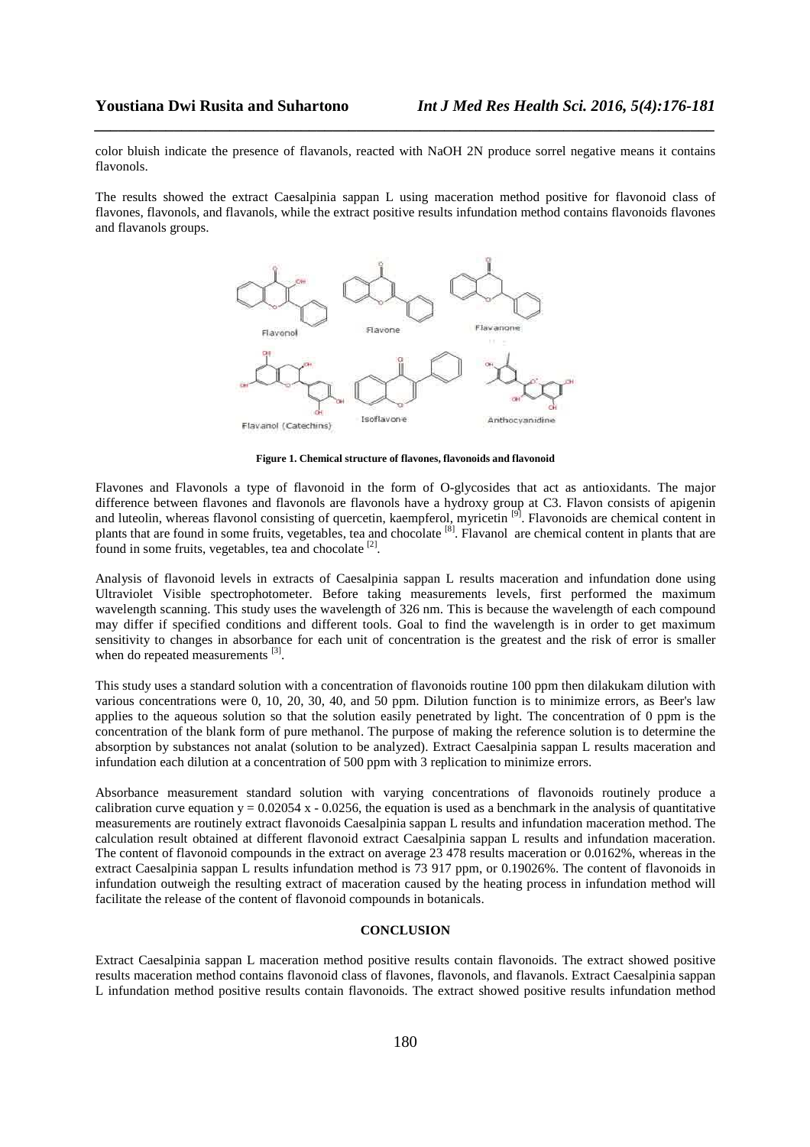color bluish indicate the presence of flavanols, reacted with NaOH 2N produce sorrel negative means it contains flavonols.

*\_\_\_\_\_\_\_\_\_\_\_\_\_\_\_\_\_\_\_\_\_\_\_\_\_\_\_\_\_\_\_\_\_\_\_\_\_\_\_\_\_\_\_\_\_\_\_\_\_\_\_\_\_\_\_\_\_\_\_\_\_\_\_\_\_\_\_\_\_\_\_\_\_\_\_\_\_\_*

The results showed the extract Caesalpinia sappan L using maceration method positive for flavonoid class of flavones, flavonols, and flavanols, while the extract positive results infundation method contains flavonoids flavones and flavanols groups.



**Figure 1. Chemical structure of flavones, flavonoids and flavonoid**

Flavones and Flavonols a type of flavonoid in the form of O-glycosides that act as antioxidants. The major difference between flavones and flavonols are flavonols have a hydroxy group at C3. Flavon consists of apigenin and luteolin, whereas flavonol consisting of quercetin, kaempferol, myricetin <sup>[9]</sup>. Flavonoids are chemical content in plants that are found in some fruits, vegetables, tea and chocolate [8]. Flavanol are chemical content in plants that are found in some fruits, vegetables, tea and chocolate  $[2]$ .

Analysis of flavonoid levels in extracts of Caesalpinia sappan L results maceration and infundation done using Ultraviolet Visible spectrophotometer. Before taking measurements levels, first performed the maximum wavelength scanning. This study uses the wavelength of 326 nm. This is because the wavelength of each compound may differ if specified conditions and different tools. Goal to find the wavelength is in order to get maximum sensitivity to changes in absorbance for each unit of concentration is the greatest and the risk of error is smaller when do repeated measurements [3].

This study uses a standard solution with a concentration of flavonoids routine 100 ppm then dilakukam dilution with various concentrations were 0, 10, 20, 30, 40, and 50 ppm. Dilution function is to minimize errors, as Beer's law applies to the aqueous solution so that the solution easily penetrated by light. The concentration of 0 ppm is the concentration of the blank form of pure methanol. The purpose of making the reference solution is to determine the absorption by substances not analat (solution to be analyzed). Extract Caesalpinia sappan L results maceration and infundation each dilution at a concentration of 500 ppm with 3 replication to minimize errors.

Absorbance measurement standard solution with varying concentrations of flavonoids routinely produce a calibration curve equation  $y = 0.02054$  x - 0.0256, the equation is used as a benchmark in the analysis of quantitative measurements are routinely extract flavonoids Caesalpinia sappan L results and infundation maceration method. The calculation result obtained at different flavonoid extract Caesalpinia sappan L results and infundation maceration. The content of flavonoid compounds in the extract on average 23 478 results maceration or 0.0162%, whereas in the extract Caesalpinia sappan L results infundation method is 73 917 ppm, or 0.19026%. The content of flavonoids in infundation outweigh the resulting extract of maceration caused by the heating process in infundation method will facilitate the release of the content of flavonoid compounds in botanicals.

# **CONCLUSION**

Extract Caesalpinia sappan L maceration method positive results contain flavonoids. The extract showed positive results maceration method contains flavonoid class of flavones, flavonols, and flavanols. Extract Caesalpinia sappan L infundation method positive results contain flavonoids. The extract showed positive results infundation method